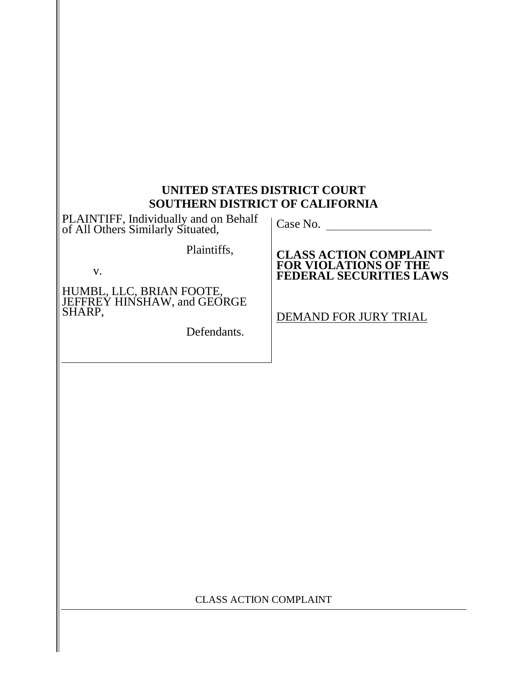#### **UNITED STATES DISTRICT COURT SOUTHERN DISTRICT OF CALIFORNIA**

PLAINTIFF, Individually and on Behalf | Case No. \_\_\_<br>of All Others Similarly Situated,

Plaintiffs,

v.

HUMBL, LLC, BRIAN FOOTE,<br>JEFFREY HINSHAW, and GEORGE SHARP,

Defendants.

**CLASS ACTION COMPLAINT FOR VIOLATIONS OF THE FEDERAL SECURITIES LAWS**

DEMAND FOR JURY TRIAL

CLASS ACTION COMPLAINT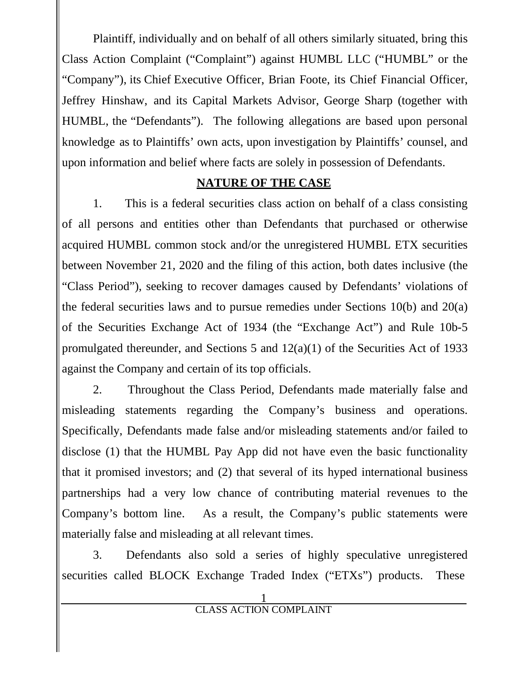Plaintiff, individually and on behalf of all others similarly situated, bring this Class Action Complaint ("Complaint") against HUMBL LLC ("HUMBL" or the "Company"), its Chief Executive Officer, Brian Foote, its Chief Financial Officer, Jeffrey Hinshaw, and its Capital Markets Advisor, George Sharp (together with HUMBL, the "Defendants"). The following allegations are based upon personal knowledge as to Plaintiffs' own acts, upon investigation by Plaintiffs' counsel, and upon information and belief where facts are solely in possession of Defendants.

#### **NATURE OF THE CASE**

1. This is a federal securities class action on behalf of a class consisting of all persons and entities other than Defendants that purchased or otherwise acquired HUMBL common stock and/or the unregistered HUMBL ETX securities between November 21, 2020 and the filing of this action, both dates inclusive (the "Class Period"), seeking to recover damages caused by Defendants' violations of the federal securities laws and to pursue remedies under Sections 10(b) and 20(a) of the Securities Exchange Act of 1934 (the "Exchange Act") and Rule 10b-5 promulgated thereunder, and Sections 5 and 12(a)(1) of the Securities Act of 1933 against the Company and certain of its top officials.

2. Throughout the Class Period, Defendants made materially false and misleading statements regarding the Company's business and operations. Specifically, Defendants made false and/or misleading statements and/or failed to disclose (1) that the HUMBL Pay App did not have even the basic functionality that it promised investors; and (2) that several of its hyped international business partnerships had a very low chance of contributing material revenues to the Company's bottom line. As a result, the Company's public statements were materially false and misleading at all relevant times.

3. Defendants also sold a series of highly speculative unregistered securities called BLOCK Exchange Traded Index ("ETXs") products. These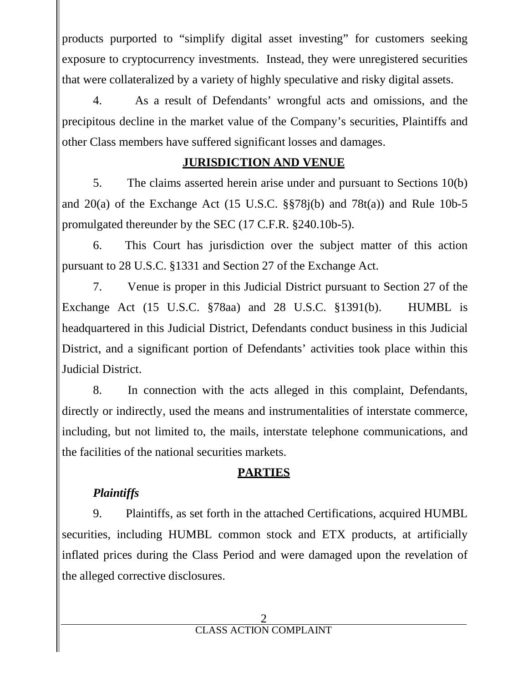products purported to "simplify digital asset investing" for customers seeking exposure to cryptocurrency investments. Instead, they were unregistered securities that were collateralized by a variety of highly speculative and risky digital assets.

4. As a result of Defendants' wrongful acts and omissions, and the precipitous decline in the market value of the Company's securities, Plaintiffs and other Class members have suffered significant losses and damages.

#### **JURISDICTION AND VENUE**

5. The claims asserted herein arise under and pursuant to Sections 10(b) and  $20(a)$  of the Exchange Act (15 U.S.C. §§78 $i(b)$  and 78 $t(a)$ ) and Rule 10b-5 promulgated thereunder by the SEC (17 C.F.R. §240.10b-5).

6. This Court has jurisdiction over the subject matter of this action pursuant to 28 U.S.C. §1331 and Section 27 of the Exchange Act.

7. Venue is proper in this Judicial District pursuant to Section 27 of the Exchange Act (15 U.S.C. §78aa) and 28 U.S.C. §1391(b). HUMBL is headquartered in this Judicial District, Defendants conduct business in this Judicial District, and a significant portion of Defendants' activities took place within this Judicial District.

8. In connection with the acts alleged in this complaint, Defendants, directly or indirectly, used the means and instrumentalities of interstate commerce, including, but not limited to, the mails, interstate telephone communications, and the facilities of the national securities markets.

## **PARTIES**

# *Plaintiffs*

9. Plaintiffs, as set forth in the attached Certifications, acquired HUMBL securities, including HUMBL common stock and ETX products, at artificially inflated prices during the Class Period and were damaged upon the revelation of the alleged corrective disclosures.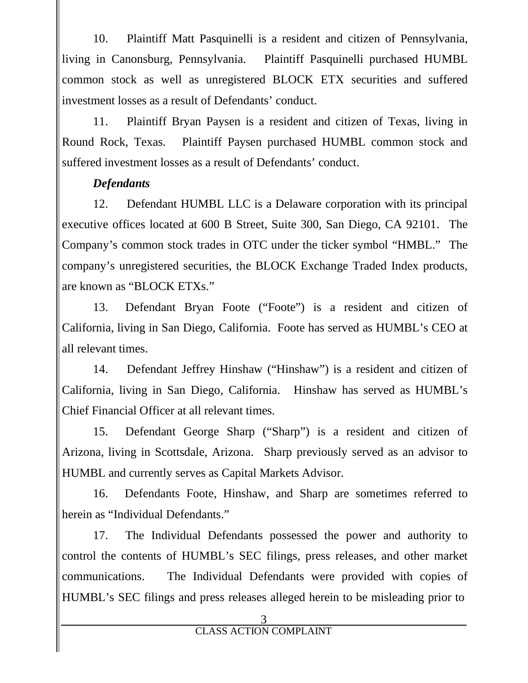10. Plaintiff Matt Pasquinelli is a resident and citizen of Pennsylvania, living in Canonsburg, Pennsylvania. Plaintiff Pasquinelli purchased HUMBL common stock as well as unregistered BLOCK ETX securities and suffered investment losses as a result of Defendants' conduct.

11. Plaintiff Bryan Paysen is a resident and citizen of Texas, living in Round Rock, Texas. Plaintiff Paysen purchased HUMBL common stock and suffered investment losses as a result of Defendants' conduct.

## *Defendants*

12. Defendant HUMBL LLC is a Delaware corporation with its principal executive offices located at 600 B Street, Suite 300, San Diego, CA 92101. The Company's common stock trades in OTC under the ticker symbol "HMBL." The company's unregistered securities, the BLOCK Exchange Traded Index products, are known as "BLOCK ETXs."

13. Defendant Bryan Foote ("Foote") is a resident and citizen of California, living in San Diego, California. Foote has served as HUMBL's CEO at all relevant times.

14. Defendant Jeffrey Hinshaw ("Hinshaw") is a resident and citizen of California, living in San Diego, California. Hinshaw has served as HUMBL's Chief Financial Officer at all relevant times.

15. Defendant George Sharp ("Sharp") is a resident and citizen of Arizona, living in Scottsdale, Arizona. Sharp previously served as an advisor to HUMBL and currently serves as Capital Markets Advisor.

16. Defendants Foote, Hinshaw, and Sharp are sometimes referred to herein as "Individual Defendants."

17. The Individual Defendants possessed the power and authority to control the contents of HUMBL's SEC filings, press releases, and other market communications. The Individual Defendants were provided with copies of HUMBL's SEC filings and press releases alleged herein to be misleading prior to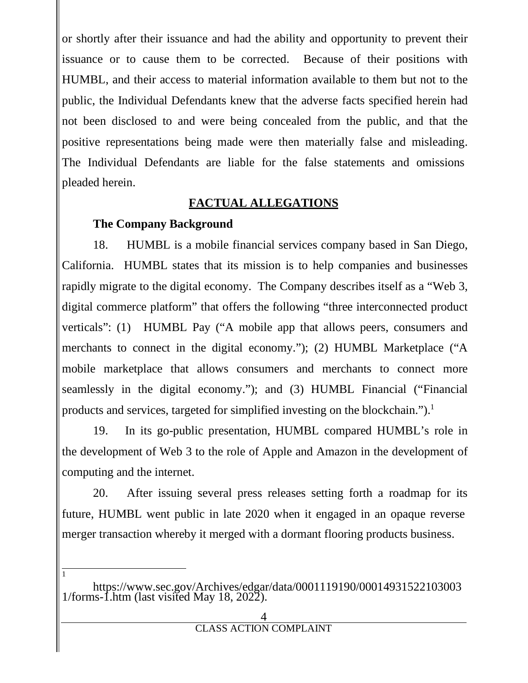or shortly after their issuance and had the ability and opportunity to prevent their issuance or to cause them to be corrected. Because of their positions with HUMBL, and their access to material information available to them but not to the public, the Individual Defendants knew that the adverse facts specified herein had not been disclosed to and were being concealed from the public, and that the positive representations being made were then materially false and misleading. The Individual Defendants are liable for the false statements and omissions pleaded herein.

#### **FACTUAL ALLEGATIONS**

#### **The Company Background**

1

18. HUMBL is a mobile financial services company based in San Diego, California. HUMBL states that its mission is to help companies and businesses rapidly migrate to the digital economy. The Company describes itself as a "Web 3, digital commerce platform" that offers the following "three interconnected product verticals": (1) HUMBL Pay ("A mobile app that allows peers, consumers and merchants to connect in the digital economy."); (2) HUMBL Marketplace ("A mobile marketplace that allows consumers and merchants to connect more seamlessly in the digital economy."); and (3) HUMBL Financial ("Financial products and services, targeted for simplified investing on the blockchain.").<sup>1</sup>

19. In its go-public presentation, HUMBL compared HUMBL's role in the development of Web 3 to the role of Apple and Amazon in the development of computing and the internet.

20. After issuing several press releases setting forth a roadmap for its future, HUMBL went public in late 2020 when it engaged in an opaque reverse merger transaction whereby it merged with a dormant flooring products business.

https://www.sec.gov/Archives/edgar/data/0001119190/00014931522103003 1/forms-1.htm (last visited May 18, 2022).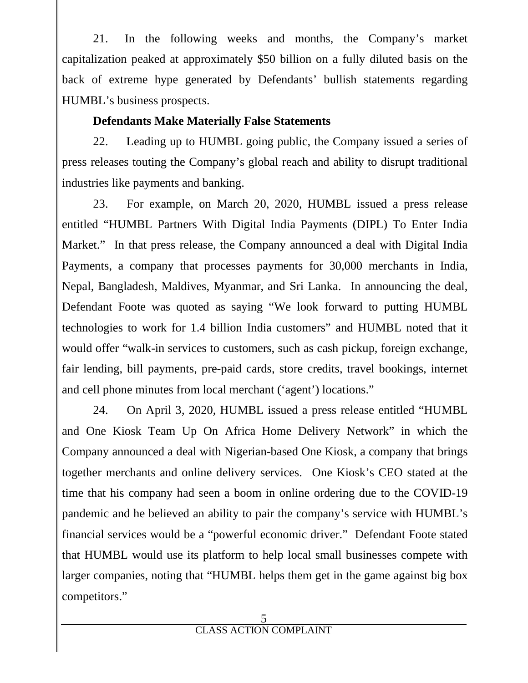21. In the following weeks and months, the Company's market capitalization peaked at approximately \$50 billion on a fully diluted basis on the back of extreme hype generated by Defendants' bullish statements regarding HUMBL's business prospects.

# **Defendants Make Materially False Statements**

22. Leading up to HUMBL going public, the Company issued a series of press releases touting the Company's global reach and ability to disrupt traditional industries like payments and banking.

23. For example, on March 20, 2020, HUMBL issued a press release entitled "HUMBL Partners With Digital India Payments (DIPL) To Enter India Market." In that press release, the Company announced a deal with Digital India Payments, a company that processes payments for 30,000 merchants in India, Nepal, Bangladesh, Maldives, Myanmar, and Sri Lanka. In announcing the deal, Defendant Foote was quoted as saying "We look forward to putting HUMBL technologies to work for 1.4 billion India customers" and HUMBL noted that it would offer "walk-in services to customers, such as cash pickup, foreign exchange, fair lending, bill payments, pre-paid cards, store credits, travel bookings, internet and cell phone minutes from local merchant ('agent') locations."

24. On April 3, 2020, HUMBL issued a press release entitled "HUMBL and One Kiosk Team Up On Africa Home Delivery Network" in which the Company announced a deal with Nigerian-based One Kiosk, a company that brings together merchants and online delivery services. One Kiosk's CEO stated at the time that his company had seen a boom in online ordering due to the COVID-19 pandemic and he believed an ability to pair the company's service with HUMBL's financial services would be a "powerful economic driver." Defendant Foote stated that HUMBL would use its platform to help local small businesses compete with larger companies, noting that "HUMBL helps them get in the game against big box competitors."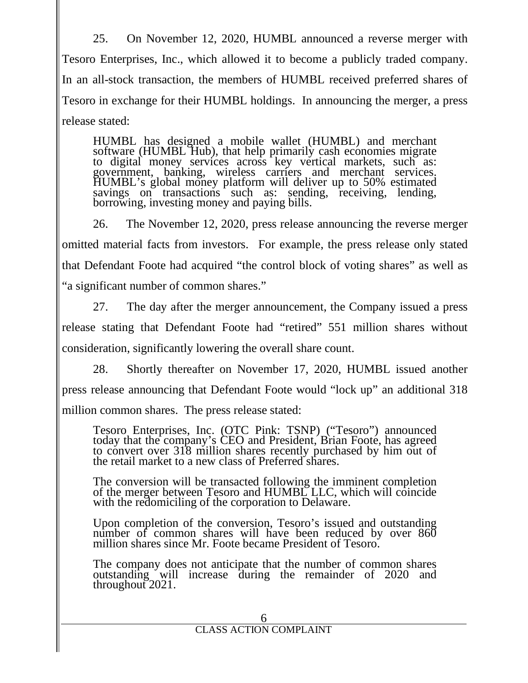25. On November 12, 2020, HUMBL announced a reverse merger with Tesoro Enterprises, Inc., which allowed it to become a publicly traded company. In an all-stock transaction, the members of HUMBL received preferred shares of Tesoro in exchange for their HUMBL holdings. In announcing the merger, a press release stated:

HUMBL has designed a mobile wallet (HUMBL) and merchant software (HUMBL Hub), that help primarily cash economies migrate to digital money services across key vertical markets, such as: government, banking, wireless carriers and merchant services. HUMBL's global money platform will deliver up to 50% estimated savings on transactions such as: sending, receiving, lending, borrowing, investing money and paying bills.

26. The November 12, 2020, press release announcing the reverse merger omitted material facts from investors. For example, the press release only stated that Defendant Foote had acquired "the control block of voting shares" as well as "a significant number of common shares."

27. The day after the merger announcement, the Company issued a press release stating that Defendant Foote had "retired" 551 million shares without consideration, significantly lowering the overall share count.

28. Shortly thereafter on November 17, 2020, HUMBL issued another press release announcing that Defendant Foote would "lock up" an additional 318 million common shares. The press release stated:

Tesoro Enterprises, Inc. (OTC Pink: TSNP) ("Tesoro") announced today that the company's CEO and President, Brian Foote, has agreed to convert over 318 million shares recently purchased by him out of the retail market to a new class of Preferred shares.

The conversion will be transacted following the imminent completion of the merger between Tesoro and HUMBL LLC, which will coincide with the redomiciling of the corporation to Delaware.

Upon completion of the conversion, Tesoro's issued and outstanding number of common shares will have been reduced by over 860 million shares since Mr. Foote became President of Tesoro.

The company does not anticipate that the number of common shares outstanding will increase during the remainder of 2020 and throughout 2021.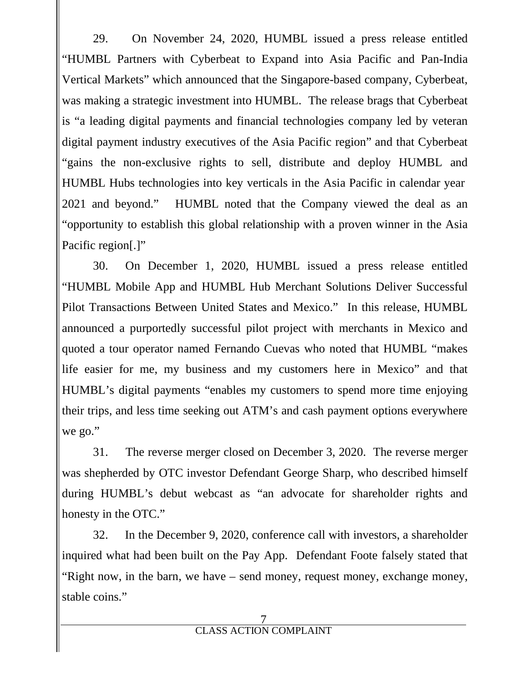29. On November 24, 2020, HUMBL issued a press release entitled "HUMBL Partners with Cyberbeat to Expand into Asia Pacific and Pan-India Vertical Markets" which announced that the Singapore-based company, Cyberbeat, was making a strategic investment into HUMBL. The release brags that Cyberbeat is "a leading digital payments and financial technologies company led by veteran digital payment industry executives of the Asia Pacific region" and that Cyberbeat "gains the non-exclusive rights to sell, distribute and deploy HUMBL and HUMBL Hubs technologies into key verticals in the Asia Pacific in calendar year 2021 and beyond." HUMBL noted that the Company viewed the deal as an "opportunity to establish this global relationship with a proven winner in the Asia Pacific region[.]"

30. On December 1, 2020, HUMBL issued a press release entitled "HUMBL Mobile App and HUMBL Hub Merchant Solutions Deliver Successful Pilot Transactions Between United States and Mexico." In this release, HUMBL announced a purportedly successful pilot project with merchants in Mexico and quoted a tour operator named Fernando Cuevas who noted that HUMBL "makes life easier for me, my business and my customers here in Mexico" and that HUMBL's digital payments "enables my customers to spend more time enjoying their trips, and less time seeking out ATM's and cash payment options everywhere we go."

31. The reverse merger closed on December 3, 2020. The reverse merger was shepherded by OTC investor Defendant George Sharp, who described himself during HUMBL's debut webcast as "an advocate for shareholder rights and honesty in the OTC."

32. In the December 9, 2020, conference call with investors, a shareholder inquired what had been built on the Pay App. Defendant Foote falsely stated that "Right now, in the barn, we have – send money, request money, exchange money, stable coins."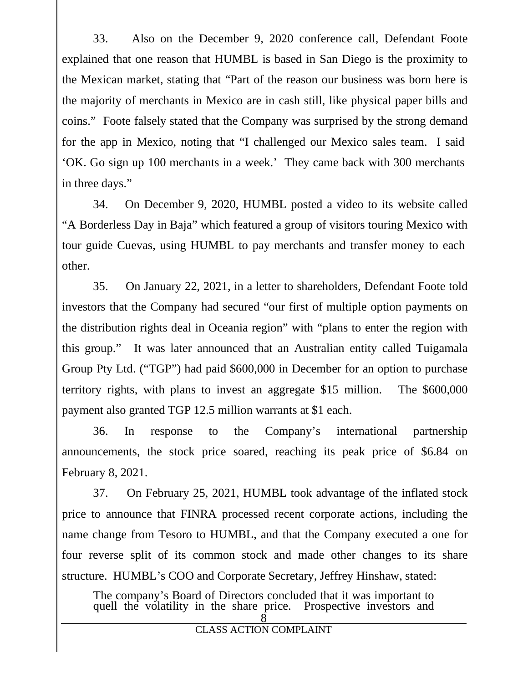33. Also on the December 9, 2020 conference call, Defendant Foote explained that one reason that HUMBL is based in San Diego is the proximity to the Mexican market, stating that "Part of the reason our business was born here is the majority of merchants in Mexico are in cash still, like physical paper bills and coins." Foote falsely stated that the Company was surprised by the strong demand for the app in Mexico, noting that "I challenged our Mexico sales team. I said 'OK. Go sign up 100 merchants in a week.' They came back with 300 merchants in three days."

34. On December 9, 2020, HUMBL posted a video to its website called "A Borderless Day in Baja" which featured a group of visitors touring Mexico with tour guide Cuevas, using HUMBL to pay merchants and transfer money to each other.

35. On January 22, 2021, in a letter to shareholders, Defendant Foote told investors that the Company had secured "our first of multiple option payments on the distribution rights deal in Oceania region" with "plans to enter the region with this group." It was later announced that an Australian entity called Tuigamala Group Pty Ltd. ("TGP") had paid \$600,000 in December for an option to purchase territory rights, with plans to invest an aggregate \$15 million. The \$600,000 payment also granted TGP 12.5 million warrants at \$1 each.

36. In response to the Company's international partnership announcements, the stock price soared, reaching its peak price of \$6.84 on February 8, 2021.

37. On February 25, 2021, HUMBL took advantage of the inflated stock price to announce that FINRA processed recent corporate actions, including the name change from Tesoro to HUMBL, and that the Company executed a one for four reverse split of its common stock and made other changes to its share structure. HUMBL's COO and Corporate Secretary, Jeffrey Hinshaw, stated:

The company's Board of Directors concluded that it was important to quell the volatility in the share price. Prospective investors and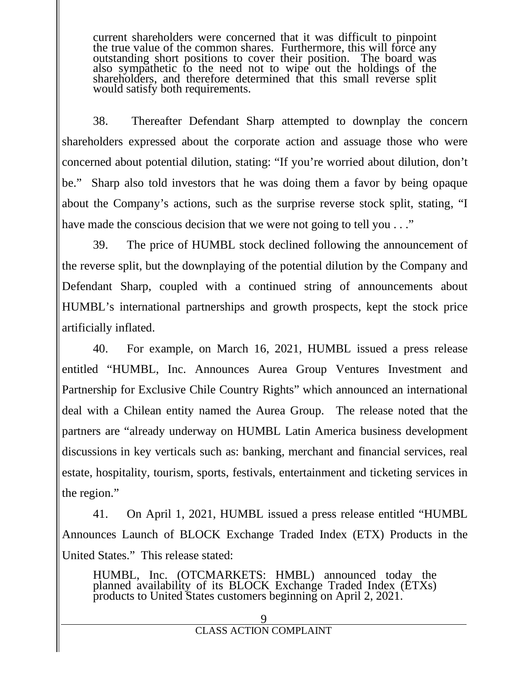current shareholders were concerned that it was difficult to pinpoint the true value of the common shares. Furthermore, this will force any outstanding short positions to cover their position. The board was also sympathetic to the need not to wipe out the holdings of the shareholders, and therefore determined that this small reverse split would satisfy both requirements.

38. Thereafter Defendant Sharp attempted to downplay the concern shareholders expressed about the corporate action and assuage those who were concerned about potential dilution, stating: "If you're worried about dilution, don't be." Sharp also told investors that he was doing them a favor by being opaque about the Company's actions, such as the surprise reverse stock split, stating, "I have made the conscious decision that we were not going to tell you . . ."

39. The price of HUMBL stock declined following the announcement of the reverse split, but the downplaying of the potential dilution by the Company and Defendant Sharp, coupled with a continued string of announcements about HUMBL's international partnerships and growth prospects, kept the stock price artificially inflated.

40. For example, on March 16, 2021, HUMBL issued a press release entitled "HUMBL, Inc. Announces Aurea Group Ventures Investment and Partnership for Exclusive Chile Country Rights" which announced an international deal with a Chilean entity named the Aurea Group. The release noted that the partners are "already underway on HUMBL Latin America business development discussions in key verticals such as: banking, merchant and financial services, real estate, hospitality, tourism, sports, festivals, entertainment and ticketing services in the region."

41. On April 1, 2021, HUMBL issued a press release entitled "HUMBL Announces Launch of BLOCK Exchange Traded Index (ETX) Products in the United States." This release stated:

HUMBL, Inc. (OTCMARKETS: HMBL) announced today the planned availability of its BLOCK Exchange Traded Index (ETXs) products to United States customers beginning on April 2, 2021.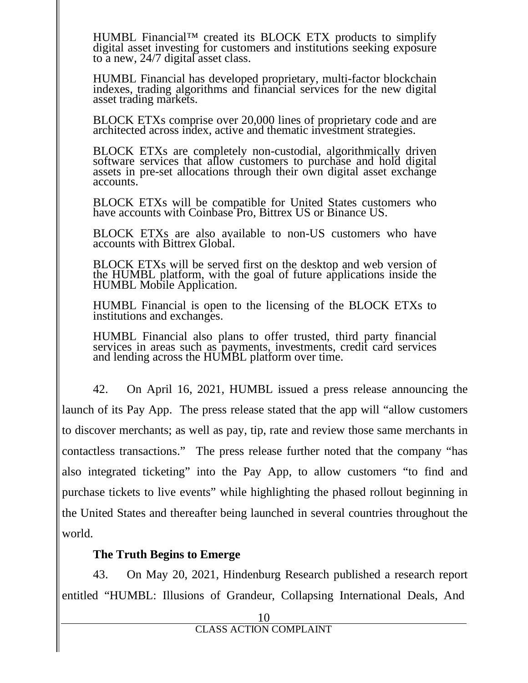HUMBL Financial™ created its BLOCK ETX products to simplify digital asset investing for customers and institutions seeking exposure to a new, 24/7 digital asset class.

HUMBL Financial has developed proprietary, multi-factor blockchain indexes, trading algorithms and financial services for the new digital asset trading markets.

BLOCK ETXs comprise over 20,000 lines of proprietary code and are architected across index, active and thematic investment strategies.

BLOCK ETXs are completely non-custodial, algorithmically driven software services that allow customers to purchase and hold digital assets in pre-set allocations through their own digital asset exchange accounts.

BLOCK ETXs will be compatible for United States customers who have accounts with Coinbase Pro, Bittrex US or Binance US.

BLOCK ETXs are also available to non-US customers who have accounts with Bittrex Global.

BLOCK ETXs will be served first on the desktop and web version of the HUMBL platform, with the goal of future applications inside the HUMBL Mobile Application.

HUMBL Financial is open to the licensing of the BLOCK ETXs to institutions and exchanges.

HUMBL Financial also plans to offer trusted, third party financial services in areas such as payments, investments, credit card services and lending across the HUMBL platform over time.

42. On April 16, 2021, HUMBL issued a press release announcing the launch of its Pay App. The press release stated that the app will "allow customers to discover merchants; as well as pay, tip, rate and review those same merchants in contactless transactions." The press release further noted that the company "has also integrated ticketing" into the Pay App, to allow customers "to find and purchase tickets to live events" while highlighting the phased rollout beginning in the United States and thereafter being launched in several countries throughout the world.

## **The Truth Begins to Emerge**

43. On May 20, 2021, Hindenburg Research published a research report entitled "HUMBL: Illusions of Grandeur, Collapsing International Deals, And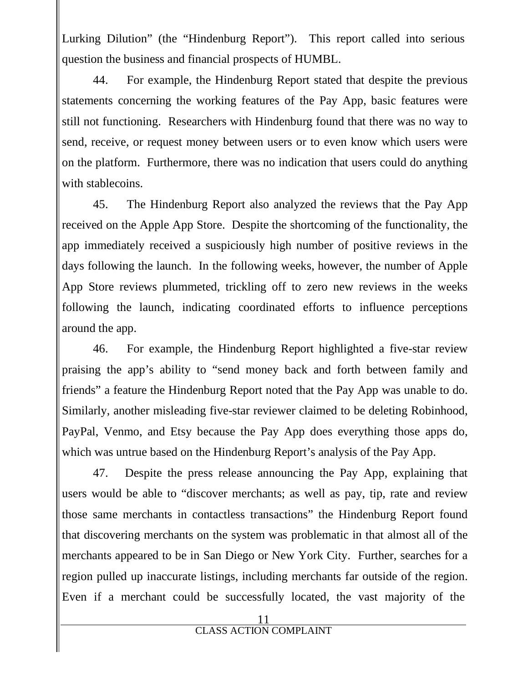Lurking Dilution" (the "Hindenburg Report"). This report called into serious question the business and financial prospects of HUMBL.

44. For example, the Hindenburg Report stated that despite the previous statements concerning the working features of the Pay App, basic features were still not functioning. Researchers with Hindenburg found that there was no way to send, receive, or request money between users or to even know which users were on the platform. Furthermore, there was no indication that users could do anything with stablecoins.

45. The Hindenburg Report also analyzed the reviews that the Pay App received on the Apple App Store. Despite the shortcoming of the functionality, the app immediately received a suspiciously high number of positive reviews in the days following the launch. In the following weeks, however, the number of Apple App Store reviews plummeted, trickling off to zero new reviews in the weeks following the launch, indicating coordinated efforts to influence perceptions around the app.

46. For example, the Hindenburg Report highlighted a five-star review praising the app's ability to "send money back and forth between family and friends" a feature the Hindenburg Report noted that the Pay App was unable to do. Similarly, another misleading five-star reviewer claimed to be deleting Robinhood, PayPal, Venmo, and Etsy because the Pay App does everything those apps do, which was untrue based on the Hindenburg Report's analysis of the Pay App.

47. Despite the press release announcing the Pay App, explaining that users would be able to "discover merchants; as well as pay, tip, rate and review those same merchants in contactless transactions" the Hindenburg Report found that discovering merchants on the system was problematic in that almost all of the merchants appeared to be in San Diego or New York City. Further, searches for a region pulled up inaccurate listings, including merchants far outside of the region. Even if a merchant could be successfully located, the vast majority of the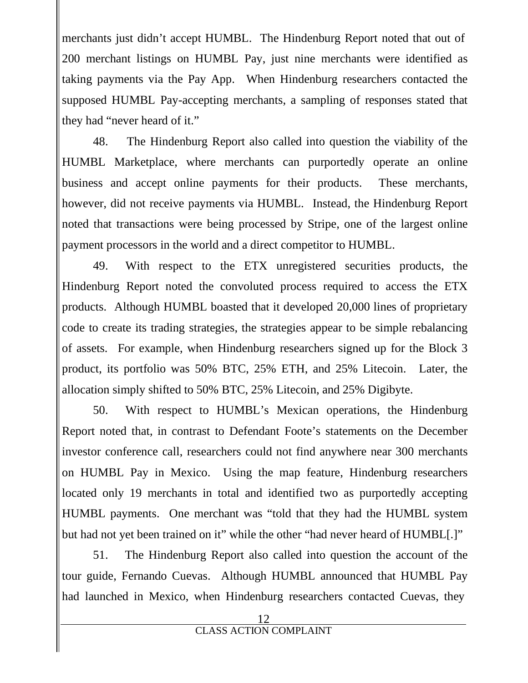merchants just didn't accept HUMBL. The Hindenburg Report noted that out of 200 merchant listings on HUMBL Pay, just nine merchants were identified as taking payments via the Pay App. When Hindenburg researchers contacted the supposed HUMBL Pay-accepting merchants, a sampling of responses stated that they had "never heard of it."

48. The Hindenburg Report also called into question the viability of the HUMBL Marketplace, where merchants can purportedly operate an online business and accept online payments for their products. These merchants, however, did not receive payments via HUMBL. Instead, the Hindenburg Report noted that transactions were being processed by Stripe, one of the largest online payment processors in the world and a direct competitor to HUMBL.

49. With respect to the ETX unregistered securities products, the Hindenburg Report noted the convoluted process required to access the ETX products. Although HUMBL boasted that it developed 20,000 lines of proprietary code to create its trading strategies, the strategies appear to be simple rebalancing of assets. For example, when Hindenburg researchers signed up for the Block 3 product, its portfolio was 50% BTC, 25% ETH, and 25% Litecoin. Later, the allocation simply shifted to 50% BTC, 25% Litecoin, and 25% Digibyte.

50. With respect to HUMBL's Mexican operations, the Hindenburg Report noted that, in contrast to Defendant Foote's statements on the December investor conference call, researchers could not find anywhere near 300 merchants on HUMBL Pay in Mexico. Using the map feature, Hindenburg researchers located only 19 merchants in total and identified two as purportedly accepting HUMBL payments. One merchant was "told that they had the HUMBL system but had not yet been trained on it" while the other "had never heard of HUMBL[.]"

51. The Hindenburg Report also called into question the account of the tour guide, Fernando Cuevas. Although HUMBL announced that HUMBL Pay had launched in Mexico, when Hindenburg researchers contacted Cuevas, they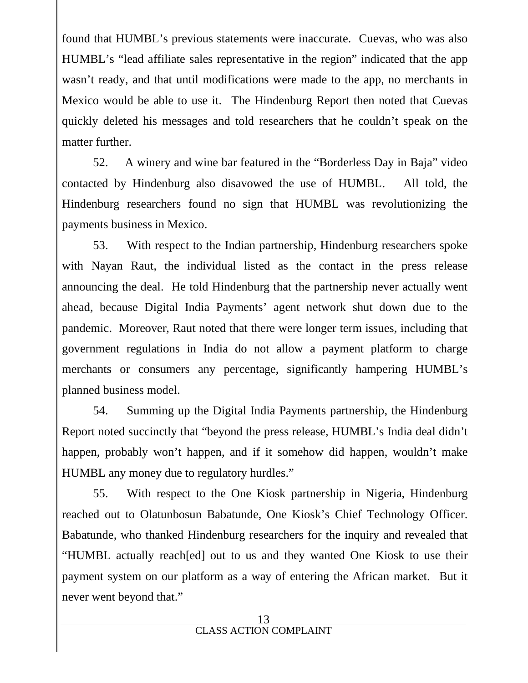found that HUMBL's previous statements were inaccurate. Cuevas, who was also HUMBL's "lead affiliate sales representative in the region" indicated that the app wasn't ready, and that until modifications were made to the app, no merchants in Mexico would be able to use it. The Hindenburg Report then noted that Cuevas quickly deleted his messages and told researchers that he couldn't speak on the matter further.

52. A winery and wine bar featured in the "Borderless Day in Baja" video contacted by Hindenburg also disavowed the use of HUMBL. All told, the Hindenburg researchers found no sign that HUMBL was revolutionizing the payments business in Mexico.

53. With respect to the Indian partnership, Hindenburg researchers spoke with Nayan Raut, the individual listed as the contact in the press release announcing the deal. He told Hindenburg that the partnership never actually went ahead, because Digital India Payments' agent network shut down due to the pandemic. Moreover, Raut noted that there were longer term issues, including that government regulations in India do not allow a payment platform to charge merchants or consumers any percentage, significantly hampering HUMBL's planned business model.

54. Summing up the Digital India Payments partnership, the Hindenburg Report noted succinctly that "beyond the press release, HUMBL's India deal didn't happen, probably won't happen, and if it somehow did happen, wouldn't make HUMBL any money due to regulatory hurdles."

55. With respect to the One Kiosk partnership in Nigeria, Hindenburg reached out to Olatunbosun Babatunde, One Kiosk's Chief Technology Officer. Babatunde, who thanked Hindenburg researchers for the inquiry and revealed that "HUMBL actually reach[ed] out to us and they wanted One Kiosk to use their payment system on our platform as a way of entering the African market. But it never went beyond that."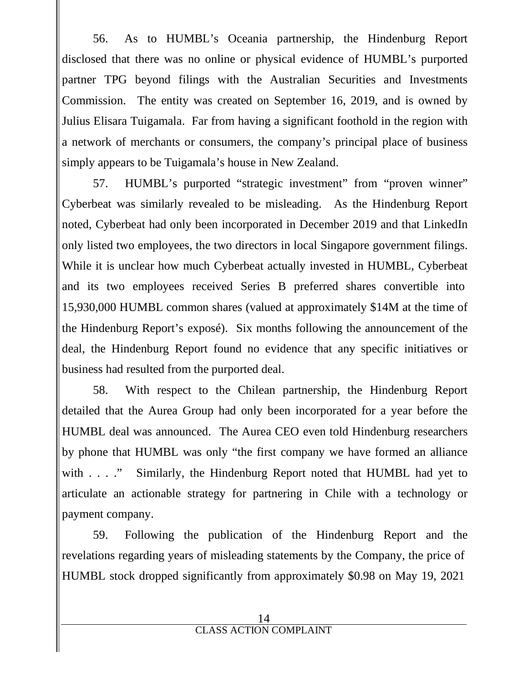56. As to HUMBL's Oceania partnership, the Hindenburg Report disclosed that there was no online or physical evidence of HUMBL's purported partner TPG beyond filings with the Australian Securities and Investments Commission. The entity was created on September 16, 2019, and is owned by Julius Elisara Tuigamala. Far from having a significant foothold in the region with a network of merchants or consumers, the company's principal place of business simply appears to be Tuigamala's house in New Zealand.

57. HUMBL's purported "strategic investment" from "proven winner" Cyberbeat was similarly revealed to be misleading. As the Hindenburg Report noted, Cyberbeat had only been incorporated in December 2019 and that LinkedIn only listed two employees, the two directors in local Singapore government filings. While it is unclear how much Cyberbeat actually invested in HUMBL, Cyberbeat and its two employees received Series B preferred shares convertible into 15,930,000 HUMBL common shares (valued at approximately \$14M at the time of the Hindenburg Report's exposé). Six months following the announcement of the deal, the Hindenburg Report found no evidence that any specific initiatives or business had resulted from the purported deal.

58. With respect to the Chilean partnership, the Hindenburg Report detailed that the Aurea Group had only been incorporated for a year before the HUMBL deal was announced. The Aurea CEO even told Hindenburg researchers by phone that HUMBL was only "the first company we have formed an alliance with  $\ldots$  ." Similarly, the Hindenburg Report noted that HUMBL had yet to articulate an actionable strategy for partnering in Chile with a technology or payment company.

59. Following the publication of the Hindenburg Report and the revelations regarding years of misleading statements by the Company, the price of HUMBL stock dropped significantly from approximately \$0.98 on May 19, 2021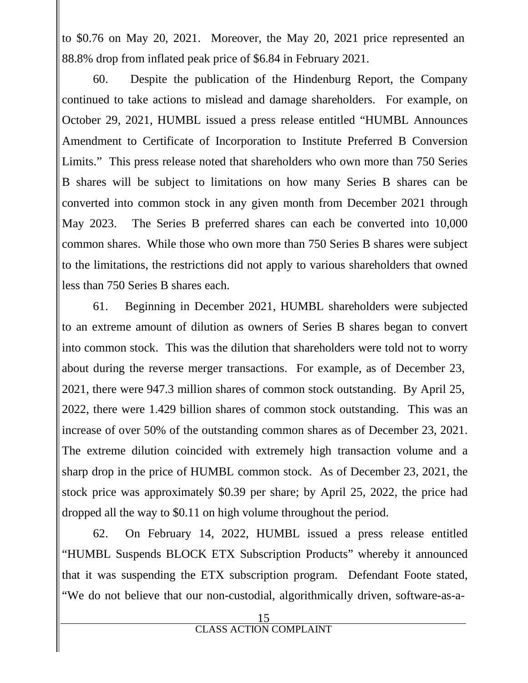to \$0.76 on May 20, 2021. Moreover, the May 20, 2021 price represented an 88.8% drop from inflated peak price of \$6.84 in February 2021.

60. Despite the publication of the Hindenburg Report, the Company continued to take actions to mislead and damage shareholders. For example, on October 29, 2021, HUMBL issued a press release entitled "HUMBL Announces Amendment to Certificate of Incorporation to Institute Preferred B Conversion Limits." This press release noted that shareholders who own more than 750 Series B shares will be subject to limitations on how many Series B shares can be converted into common stock in any given month from December 2021 through May 2023. The Series B preferred shares can each be converted into 10,000 common shares. While those who own more than 750 Series B shares were subject to the limitations, the restrictions did not apply to various shareholders that owned less than 750 Series B shares each.

61. Beginning in December 2021, HUMBL shareholders were subjected to an extreme amount of dilution as owners of Series B shares began to convert into common stock. This was the dilution that shareholders were told not to worry about during the reverse merger transactions. For example, as of December 23, 2021, there were 947.3 million shares of common stock outstanding. By April 25, 2022, there were 1.429 billion shares of common stock outstanding. This was an increase of over 50% of the outstanding common shares as of December 23, 2021. The extreme dilution coincided with extremely high transaction volume and a sharp drop in the price of HUMBL common stock. As of December 23, 2021, the stock price was approximately \$0.39 per share; by April 25, 2022, the price had dropped all the way to \$0.11 on high volume throughout the period.

62. On February 14, 2022, HUMBL issued a press release entitled "HUMBL Suspends BLOCK ETX Subscription Products" whereby it announced that it was suspending the ETX subscription program. Defendant Foote stated, "We do not believe that our non-custodial, algorithmically driven, software-as-a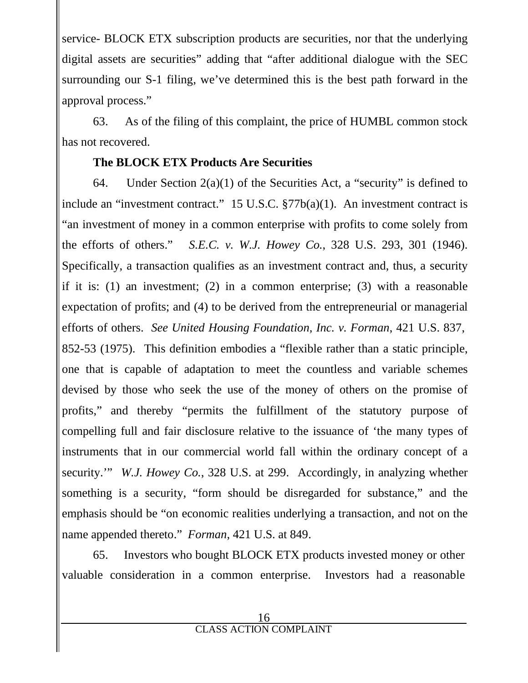service- BLOCK ETX subscription products are securities, nor that the underlying digital assets are securities" adding that "after additional dialogue with the SEC surrounding our S-1 filing, we've determined this is the best path forward in the approval process."

63. As of the filing of this complaint, the price of HUMBL common stock has not recovered.

# **The BLOCK ETX Products Are Securities**

64. Under Section  $2(a)(1)$  of the Securities Act, a "security" is defined to include an "investment contract." 15 U.S.C. §77b(a)(1). An investment contract is "an investment of money in a common enterprise with profits to come solely from the efforts of others." *S.E.C. v. W.J. Howey Co.*, 328 U.S. 293, 301 (1946). Specifically, a transaction qualifies as an investment contract and, thus, a security if it is: (1) an investment; (2) in a common enterprise; (3) with a reasonable expectation of profits; and (4) to be derived from the entrepreneurial or managerial efforts of others. *See United Housing Foundation, Inc. v. Forman*, 421 U.S. 837, 852-53 (1975). This definition embodies a "flexible rather than a static principle, one that is capable of adaptation to meet the countless and variable schemes devised by those who seek the use of the money of others on the promise of profits," and thereby "permits the fulfillment of the statutory purpose of compelling full and fair disclosure relative to the issuance of 'the many types of instruments that in our commercial world fall within the ordinary concept of a security.'" *W.J. Howey Co.*, 328 U.S. at 299. Accordingly, in analyzing whether something is a security, "form should be disregarded for substance," and the emphasis should be "on economic realities underlying a transaction, and not on the name appended thereto." *Forman*, 421 U.S. at 849.

65. Investors who bought BLOCK ETX products invested money or other valuable consideration in a common enterprise. Investors had a reasonable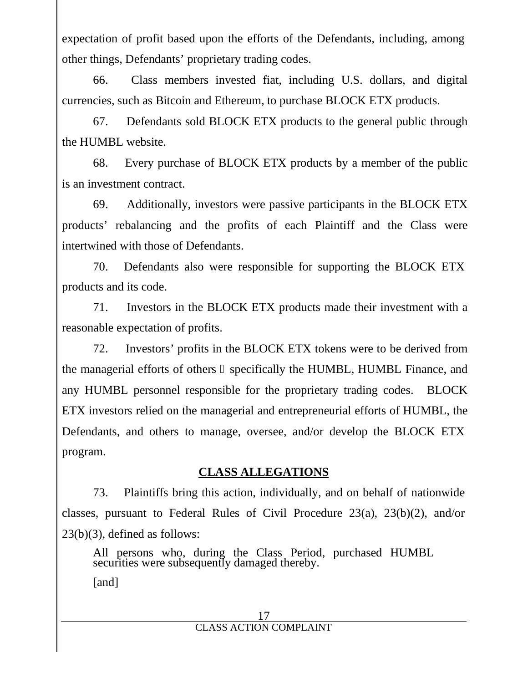expectation of profit based upon the efforts of the Defendants, including, among other things, Defendants' proprietary trading codes.

66. Class members invested fiat, including U.S. dollars, and digital currencies, such as Bitcoin and Ethereum, to purchase BLOCK ETX products.

67. Defendants sold BLOCK ETX products to the general public through the HUMBL website.

68. Every purchase of BLOCK ETX products by a member of the public is an investment contract.

69. Additionally, investors were passive participants in the BLOCK ETX products' rebalancing and the profits of each Plaintiff and the Class were intertwined with those of Defendants.

70. Defendants also were responsible for supporting the BLOCK ETX products and its code.

71. Investors in the BLOCK ETX products made their investment with a reasonable expectation of profits.

72. Investors' profits in the BLOCK ETX tokens were to be derived from the managerial efforts of others specifically the HUMBL, HUMBL Finance, and any HUMBL personnel responsible for the proprietary trading codes. BLOCK ETX investors relied on the managerial and entrepreneurial efforts of HUMBL, the Defendants, and others to manage, oversee, and/or develop the BLOCK ETX program.

## **CLASS ALLEGATIONS**

73. Plaintiffs bring this action, individually, and on behalf of nationwide classes, pursuant to Federal Rules of Civil Procedure 23(a), 23(b)(2), and/or 23(b)(3), defined as follows:

All persons who, during the Class Period, purchased HUMBL securities were subsequently damaged thereby.

[and]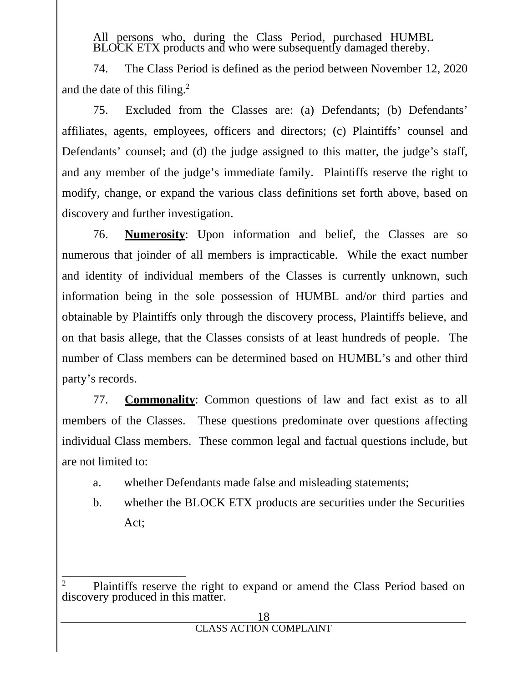All persons who, during the Class Period, purchased HUMBL BLOCK ETX products and who were subsequently damaged thereby.

74. The Class Period is defined as the period between November 12, 2020 and the date of this filing.<sup>2</sup>

75. Excluded from the Classes are: (a) Defendants; (b) Defendants' affiliates, agents, employees, officers and directors; (c) Plaintiffs' counsel and Defendants' counsel; and (d) the judge assigned to this matter, the judge's staff, and any member of the judge's immediate family. Plaintiffs reserve the right to modify, change, or expand the various class definitions set forth above, based on discovery and further investigation.

76. **Numerosity**: Upon information and belief, the Classes are so numerous that joinder of all members is impracticable. While the exact number and identity of individual members of the Classes is currently unknown, such information being in the sole possession of HUMBL and/or third parties and obtainable by Plaintiffs only through the discovery process, Plaintiffs believe, and on that basis allege, that the Classes consists of at least hundreds of people. The number of Class members can be determined based on HUMBL's and other third party's records.

77. **Commonality**: Common questions of law and fact exist as to all members of the Classes. These questions predominate over questions affecting individual Class members. These common legal and factual questions include, but are not limited to:

- a. whether Defendants made false and misleading statements;
- b. whether the BLOCK ETX products are securities under the Securities Act;

Plaintiffs reserve the right to expand or amend the Class Period based on discovery produced in this matter.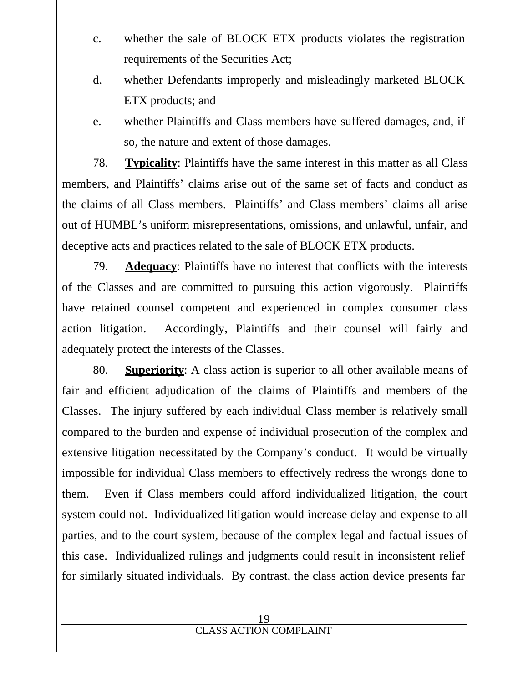- c. whether the sale of BLOCK ETX products violates the registration requirements of the Securities Act;
- d. whether Defendants improperly and misleadingly marketed BLOCK ETX products; and
- e. whether Plaintiffs and Class members have suffered damages, and, if so, the nature and extent of those damages.

78. **Typicality**: Plaintiffs have the same interest in this matter as all Class members, and Plaintiffs' claims arise out of the same set of facts and conduct as the claims of all Class members. Plaintiffs' and Class members' claims all arise out of HUMBL's uniform misrepresentations, omissions, and unlawful, unfair, and deceptive acts and practices related to the sale of BLOCK ETX products.

79. **Adequacy**: Plaintiffs have no interest that conflicts with the interests of the Classes and are committed to pursuing this action vigorously. Plaintiffs have retained counsel competent and experienced in complex consumer class action litigation. Accordingly, Plaintiffs and their counsel will fairly and adequately protect the interests of the Classes.

80. **Superiority**: A class action is superior to all other available means of fair and efficient adjudication of the claims of Plaintiffs and members of the Classes. The injury suffered by each individual Class member is relatively small compared to the burden and expense of individual prosecution of the complex and extensive litigation necessitated by the Company's conduct. It would be virtually impossible for individual Class members to effectively redress the wrongs done to them. Even if Class members could afford individualized litigation, the court system could not. Individualized litigation would increase delay and expense to all parties, and to the court system, because of the complex legal and factual issues of this case. Individualized rulings and judgments could result in inconsistent relief for similarly situated individuals. By contrast, the class action device presents far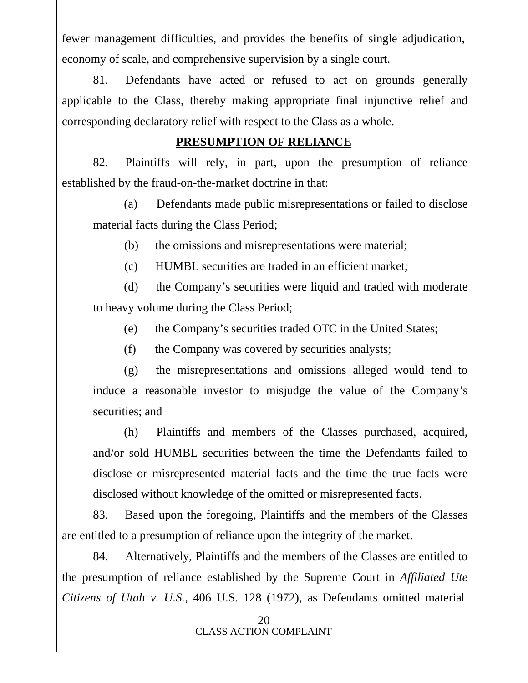fewer management difficulties, and provides the benefits of single adjudication, economy of scale, and comprehensive supervision by a single court.

81. Defendants have acted or refused to act on grounds generally applicable to the Class, thereby making appropriate final injunctive relief and corresponding declaratory relief with respect to the Class as a whole.

#### **PRESUMPTION OF RELIANCE**

82. Plaintiffs will rely, in part, upon the presumption of reliance established by the fraud-on-the-market doctrine in that:

(a) Defendants made public misrepresentations or failed to disclose material facts during the Class Period;

(b) the omissions and misrepresentations were material;

(c) HUMBL securities are traded in an efficient market;

(d) the Company's securities were liquid and traded with moderate to heavy volume during the Class Period;

(e) the Company's securities traded OTC in the United States;

(f) the Company was covered by securities analysts;

(g) the misrepresentations and omissions alleged would tend to induce a reasonable investor to misjudge the value of the Company's securities; and

(h) Plaintiffs and members of the Classes purchased, acquired, and/or sold HUMBL securities between the time the Defendants failed to disclose or misrepresented material facts and the time the true facts were disclosed without knowledge of the omitted or misrepresented facts.

83. Based upon the foregoing, Plaintiffs and the members of the Classes are entitled to a presumption of reliance upon the integrity of the market.

84. Alternatively, Plaintiffs and the members of the Classes are entitled to the presumption of reliance established by the Supreme Court in *Affiliated Ute Citizens of Utah v. U.S.*, 406 U.S. 128 (1972), as Defendants omitted material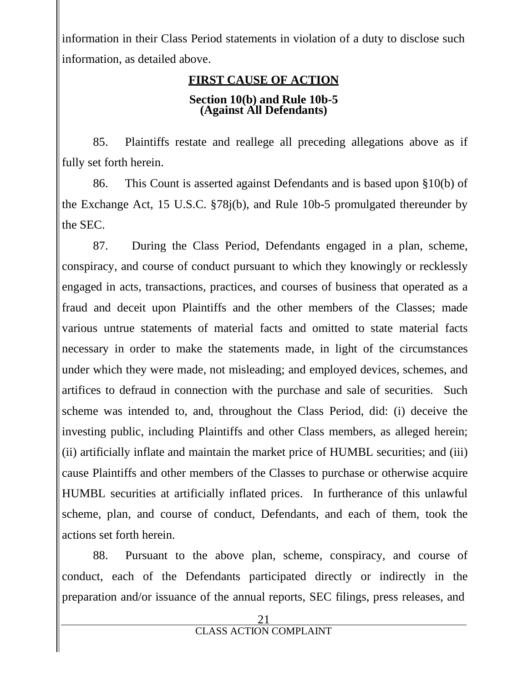information in their Class Period statements in violation of a duty to disclose such information, as detailed above.

# **FIRST CAUSE OF ACTION**

#### **Section 10(b) and Rule 10b-5 (Against All Defendants)**

85. Plaintiffs restate and reallege all preceding allegations above as if fully set forth herein.

86. This Count is asserted against Defendants and is based upon §10(b) of the Exchange Act, 15 U.S.C. §78j(b), and Rule 10b-5 promulgated thereunder by the SEC.

87. During the Class Period, Defendants engaged in a plan, scheme, conspiracy, and course of conduct pursuant to which they knowingly or recklessly engaged in acts, transactions, practices, and courses of business that operated as a fraud and deceit upon Plaintiffs and the other members of the Classes; made various untrue statements of material facts and omitted to state material facts necessary in order to make the statements made, in light of the circumstances under which they were made, not misleading; and employed devices, schemes, and artifices to defraud in connection with the purchase and sale of securities. Such scheme was intended to, and, throughout the Class Period, did: (i) deceive the investing public, including Plaintiffs and other Class members, as alleged herein; (ii) artificially inflate and maintain the market price of HUMBL securities; and (iii) cause Plaintiffs and other members of the Classes to purchase or otherwise acquire HUMBL securities at artificially inflated prices. In furtherance of this unlawful scheme, plan, and course of conduct, Defendants, and each of them, took the actions set forth herein.

88. Pursuant to the above plan, scheme, conspiracy, and course of conduct, each of the Defendants participated directly or indirectly in the preparation and/or issuance of the annual reports, SEC filings, press releases, and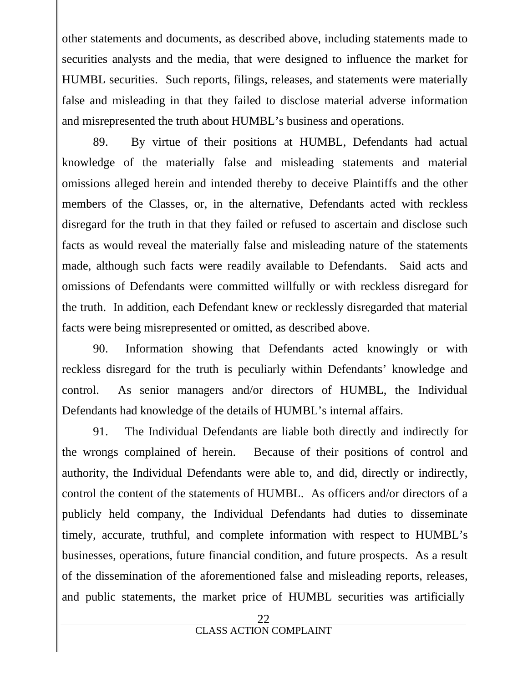other statements and documents, as described above, including statements made to securities analysts and the media, that were designed to influence the market for HUMBL securities. Such reports, filings, releases, and statements were materially false and misleading in that they failed to disclose material adverse information and misrepresented the truth about HUMBL's business and operations.

89. By virtue of their positions at HUMBL, Defendants had actual knowledge of the materially false and misleading statements and material omissions alleged herein and intended thereby to deceive Plaintiffs and the other members of the Classes, or, in the alternative, Defendants acted with reckless disregard for the truth in that they failed or refused to ascertain and disclose such facts as would reveal the materially false and misleading nature of the statements made, although such facts were readily available to Defendants. Said acts and omissions of Defendants were committed willfully or with reckless disregard for the truth. In addition, each Defendant knew or recklessly disregarded that material facts were being misrepresented or omitted, as described above.

90. Information showing that Defendants acted knowingly or with reckless disregard for the truth is peculiarly within Defendants' knowledge and control. As senior managers and/or directors of HUMBL, the Individual Defendants had knowledge of the details of HUMBL's internal affairs.

91. The Individual Defendants are liable both directly and indirectly for the wrongs complained of herein. Because of their positions of control and authority, the Individual Defendants were able to, and did, directly or indirectly, control the content of the statements of HUMBL. As officers and/or directors of a publicly held company, the Individual Defendants had duties to disseminate timely, accurate, truthful, and complete information with respect to HUMBL's businesses, operations, future financial condition, and future prospects. As a result of the dissemination of the aforementioned false and misleading reports, releases, and public statements, the market price of HUMBL securities was artificially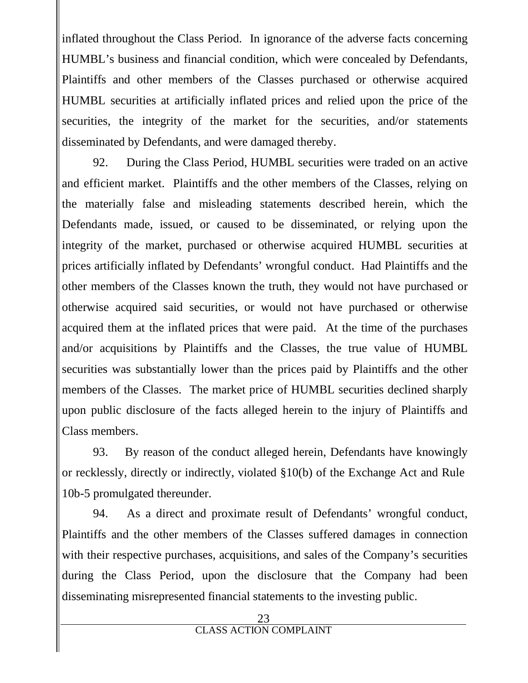inflated throughout the Class Period. In ignorance of the adverse facts concerning HUMBL's business and financial condition, which were concealed by Defendants, Plaintiffs and other members of the Classes purchased or otherwise acquired HUMBL securities at artificially inflated prices and relied upon the price of the securities, the integrity of the market for the securities, and/or statements disseminated by Defendants, and were damaged thereby.

92. During the Class Period, HUMBL securities were traded on an active and efficient market. Plaintiffs and the other members of the Classes, relying on the materially false and misleading statements described herein, which the Defendants made, issued, or caused to be disseminated, or relying upon the integrity of the market, purchased or otherwise acquired HUMBL securities at prices artificially inflated by Defendants' wrongful conduct. Had Plaintiffs and the other members of the Classes known the truth, they would nothave purchased or otherwise acquired said securities, or would not have purchased or otherwise acquired them at the inflated prices that were paid. At the time of the purchases and/or acquisitions by Plaintiffs and the Classes, the true value of HUMBL securities was substantially lower than the prices paid by Plaintiffs and the other members of the Classes. The market price of HUMBL securities declined sharply upon public disclosure of the facts alleged herein to the injury of Plaintiffs and Class members.

93. By reason of the conduct alleged herein, Defendants have knowingly or recklessly, directly or indirectly, violated §10(b) of the Exchange Act and Rule 10b-5 promulgated thereunder.

94. As a direct and proximate result of Defendants' wrongful conduct, Plaintiffs and the other members of the Classes suffered damages in connection with their respective purchases, acquisitions, and sales of the Company's securities during the Class Period, upon the disclosure that the Company had been disseminating misrepresented financial statements to the investing public.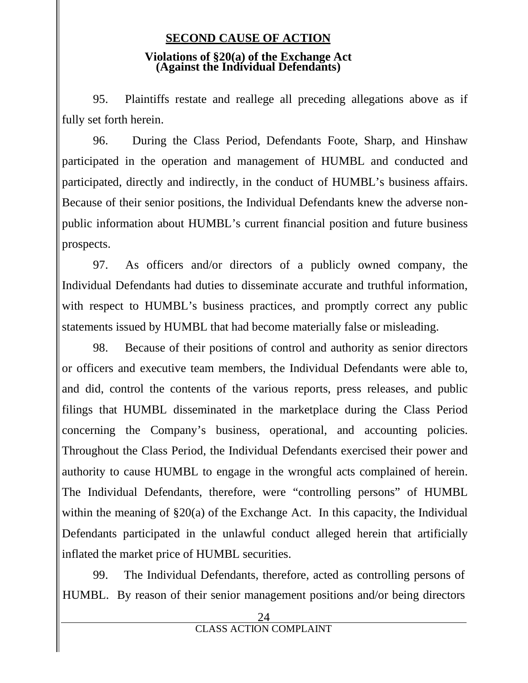#### **SECOND CAUSE OF ACTION**

#### **Violations of §20(a) of the Exchange Act (Against the Individual Defendants)**

95. Plaintiffs restate and reallege all preceding allegations above as if fully set forth herein.

96. During the Class Period, Defendants Foote, Sharp, and Hinshaw participated in the operation and management of HUMBL and conducted and participated, directly and indirectly, in the conduct of HUMBL's business affairs. Because of their senior positions, the Individual Defendants knew the adverse non public information about HUMBL's current financial position and future business prospects.

97. As officers and/or directors of a publicly owned company, the Individual Defendants had duties to disseminate accurate and truthful information, with respect to HUMBL's business practices, and promptly correct any public statements issued by HUMBL that had become materially false or misleading.

98. Because of their positions of control and authority as senior directors or officers and executive team members, the Individual Defendants were able to, and did, control the contents of the various reports, press releases, and public filings that HUMBL disseminated in the marketplace during the Class Period concerning the Company's business, operational, and accounting policies. Throughout the Class Period, the Individual Defendants exercised their power and authority to cause HUMBL to engage in the wrongful acts complained of herein. The Individual Defendants, therefore, were "controlling persons" of HUMBL within the meaning of §20(a) of the Exchange Act. In this capacity, the Individual Defendants participated in the unlawful conduct alleged herein that artificially inflated the market price of HUMBL securities.

99. The Individual Defendants, therefore, acted as controlling persons of HUMBL. By reason of their senior management positions and/or being directors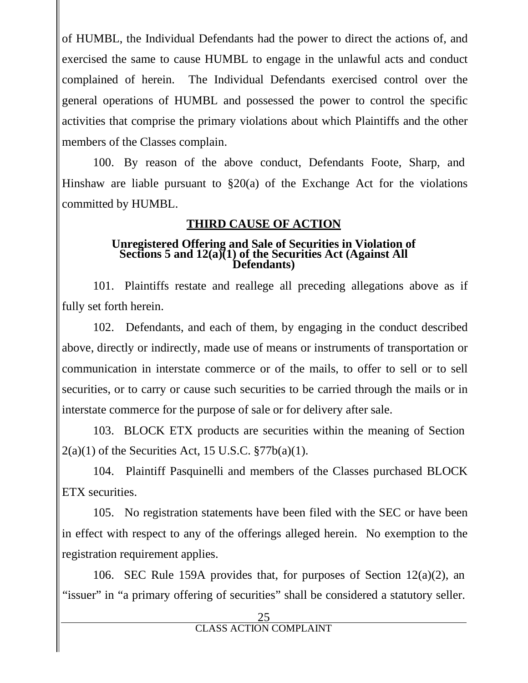of HUMBL, the Individual Defendants had the power to direct the actions of, and exercised the same to cause HUMBL to engage in the unlawful acts and conduct complained of herein. The Individual Defendants exercised control over the general operations of HUMBL and possessed the power to control the specific activities that comprise the primary violations about which Plaintiffs and the other members of the Classes complain.

100. By reason of the above conduct, Defendants Foote, Sharp, and Hinshaw are liable pursuant to §20(a) of the Exchange Act for the violations committed by HUMBL.

#### **THIRD CAUSE OF ACTION**

#### **Unregistered Offering and Sale of Securities in Violation of Sections 5 and 12(a)(1) of the Securities Act (Against All Defendants)**

101. Plaintiffs restate and reallege all preceding allegations above as if fully set forth herein.

102. Defendants, and each of them, by engaging in the conduct described above, directly or indirectly, made use of means or instruments of transportation or communication in interstate commerce or of the mails, to offer to sell or to sell securities, or to carry or cause such securities to be carried through the mails or in interstate commerce for the purpose of sale or for delivery after sale.

103. BLOCK ETX products are securities within the meaning of Section  $2(a)(1)$  of the Securities Act, 15 U.S.C.  $\frac{8}{77b(a)(1)}$ .

104. Plaintiff Pasquinelli and members of the Classes purchased BLOCK ETX securities.

105. No registration statements have been filed with the SEC or have been in effect with respect to any of the offerings alleged herein. No exemption to the registration requirement applies.

106. SEC Rule 159A provides that, for purposes of Section 12(a)(2), an "issuer" in "a primary offering of securities" shall be considered a statutory seller.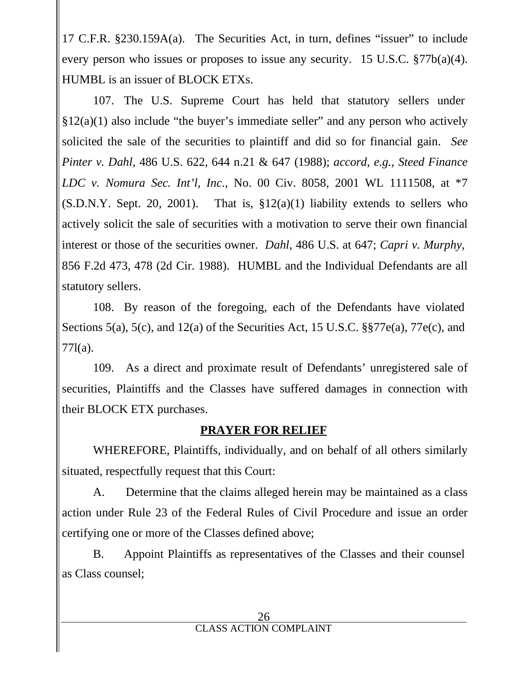17 C.F.R. §230.159A(a). The Securities Act, in turn, defines "issuer" to include every person who issues or proposes to issue any security. 15 U.S.C. §77b(a)(4). HUMBL is an issuer of BLOCK ETXs.

107. The U.S. Supreme Court has held that statutory sellers under  $§12(a)(1)$  also include "the buyer's immediate seller" and any person who actively solicited the sale of the securities to plaintiff and did so for financial gain. *See Pinter v.Dahl*, 486 U.S. 622, 644 n.21 & 647 (1988); *accord*, *e.g.*, *Steed Finance LDC v. Nomura Sec. Int'l*, *Inc*., No. 00 Civ. 8058, 2001 WL 1111508, at \*7  $(S.D.N.Y. Sept. 20, 2001)$ . That is,  $$12(a)(1)$  liability extends to sellers who actively solicit the sale of securities with a motivation to serve their own financial interest or those of the securities owner. *Dahl*, 486 U.S. at 647; *Capri v. Murphy*, 856 F.2d 473, 478 (2d Cir. 1988). HUMBL and the Individual Defendants are all statutory sellers.

108. By reason of the foregoing, each of the Defendants have violated Sections 5(a), 5(c), and 12(a) of the Securities Act, 15 U.S.C. §§77e(a), 77e(c), and 77l(a).

109. As a direct and proximate result of Defendants' unregistered sale of securities, Plaintiffs and the Classes have suffered damages in connection with their BLOCK ETX purchases.

## **PRAYER FOR RELIEF**

WHEREFORE, Plaintiffs, individually, and on behalf of all others similarly situated, respectfully request that this Court:

A. Determine that the claims alleged herein may be maintained as a class action under Rule 23 of the Federal Rules of Civil Procedure and issue an order certifying one or more of the Classes defined above;

B. Appoint Plaintiffs as representatives of the Classes and their counsel as Class counsel;